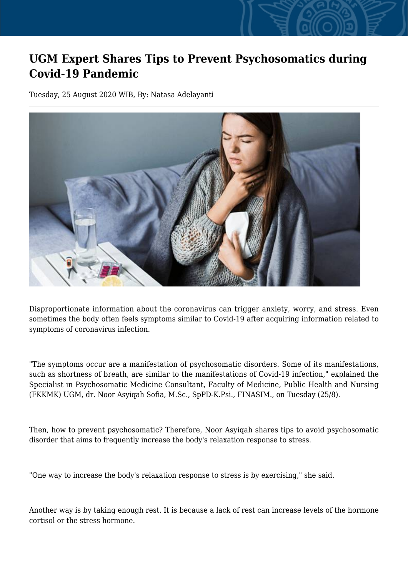## **UGM Expert Shares Tips to Prevent Psychosomatics during Covid-19 Pandemic**

Tuesday, 25 August 2020 WIB, By: Natasa Adelayanti



Disproportionate information about the coronavirus can trigger anxiety, worry, and stress. Even sometimes the body often feels symptoms similar to Covid-19 after acquiring information related to symptoms of coronavirus infection.

"The symptoms occur are a manifestation of psychosomatic disorders. Some of its manifestations, such as shortness of breath, are similar to the manifestations of Covid-19 infection," explained the Specialist in Psychosomatic Medicine Consultant, Faculty of Medicine, Public Health and Nursing (FKKMK) UGM, dr. Noor Asyiqah Sofia, M.Sc., SpPD-K.Psi., FINASIM., on Tuesday (25/8).

Then, how to prevent psychosomatic? Therefore, Noor Asyiqah shares tips to avoid psychosomatic disorder that aims to frequently increase the body's relaxation response to stress.

"One way to increase the body's relaxation response to stress is by exercising," she said.

Another way is by taking enough rest. It is because a lack of rest can increase levels of the hormone cortisol or the stress hormone.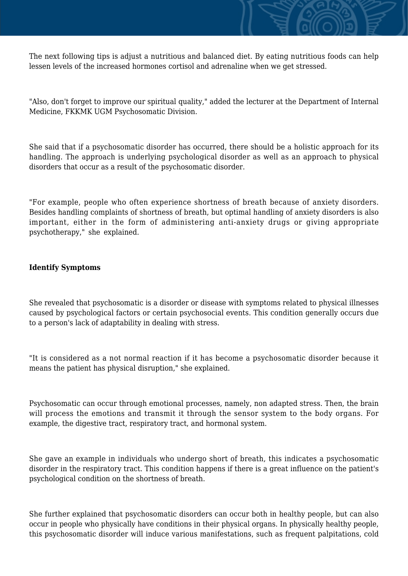

The next following tips is adjust a nutritious and balanced diet. By eating nutritious foods can help lessen levels of the increased hormones cortisol and adrenaline when we get stressed.

"Also, don't forget to improve our spiritual quality," added the lecturer at the Department of Internal Medicine, FKKMK UGM Psychosomatic Division.

She said that if a psychosomatic disorder has occurred, there should be a holistic approach for its handling. The approach is underlying psychological disorder as well as an approach to physical disorders that occur as a result of the psychosomatic disorder.

"For example, people who often experience shortness of breath because of anxiety disorders. Besides handling complaints of shortness of breath, but optimal handling of anxiety disorders is also important, either in the form of administering anti-anxiety drugs or giving appropriate psychotherapy," she explained.

## **Identify Symptoms**

She revealed that psychosomatic is a disorder or disease with symptoms related to physical illnesses caused by psychological factors or certain psychosocial events. This condition generally occurs due to a person's lack of adaptability in dealing with stress.

"It is considered as a not normal reaction if it has become a psychosomatic disorder because it means the patient has physical disruption," she explained.

Psychosomatic can occur through emotional processes, namely, non adapted stress. Then, the brain will process the emotions and transmit it through the sensor system to the body organs. For example, the digestive tract, respiratory tract, and hormonal system.

She gave an example in individuals who undergo short of breath, this indicates a psychosomatic disorder in the respiratory tract. This condition happens if there is a great influence on the patient's psychological condition on the shortness of breath.

She further explained that psychosomatic disorders can occur both in healthy people, but can also occur in people who physically have conditions in their physical organs. In physically healthy people, this psychosomatic disorder will induce various manifestations, such as frequent palpitations, cold